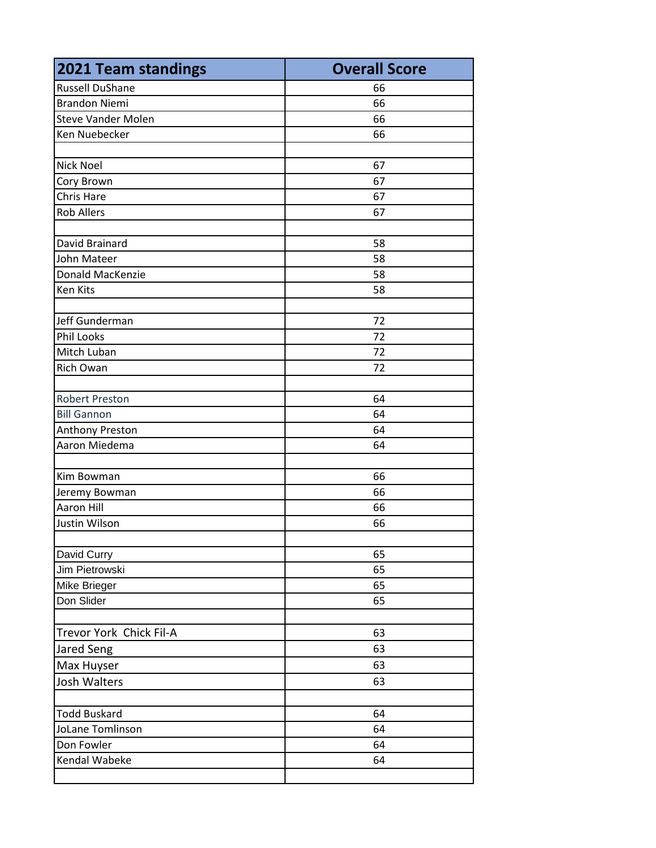| <b>2021 Team standings</b> | <b>Overall Score</b> |
|----------------------------|----------------------|
| <b>Russell DuShane</b>     | 66                   |
| <b>Brandon Niemi</b>       | 66                   |
| <b>Steve Vander Molen</b>  | 66                   |
| Ken Nuebecker              | 66                   |
|                            |                      |
| <b>Nick Noel</b>           | 67                   |
| Cory Brown                 | 67                   |
| Chris Hare                 | 67                   |
| <b>Rob Allers</b>          | 67                   |
|                            |                      |
| David Brainard             | 58                   |
| John Mateer                | 58                   |
| Donald MacKenzie           | 58                   |
| Ken Kits                   | 58                   |
|                            |                      |
| Jeff Gunderman             | 72                   |
| <b>Phil Looks</b>          | 72                   |
| Mitch Luban                | 72                   |
| Rich Owan                  | 72                   |
|                            |                      |
| <b>Robert Preston</b>      | 64                   |
| <b>Bill Gannon</b>         | 64                   |
| Anthony Preston            | 64                   |
| Aaron Miedema              | 64                   |
|                            |                      |
| Kim Bowman                 | 66                   |
| Jeremy Bowman              | 66                   |
| Aaron Hill                 | 66                   |
| Justin Wilson              | 66                   |
|                            |                      |
| David Curry                | 65                   |
| Jim Pietrowski             | 65                   |
| Mike Brieger               | 65                   |
| Don Slider                 | 65                   |
|                            |                      |
| Trevor York Chick Fil-A    | 63                   |
| Jared Seng                 | 63                   |
| Max Huyser                 | 63                   |
| Josh Walters               | 63                   |
|                            |                      |
| <b>Todd Buskard</b>        | 64                   |
| JoLane Tomlinson           | 64                   |
| Don Fowler                 | 64                   |
| Kendal Wabeke              | 64                   |
|                            |                      |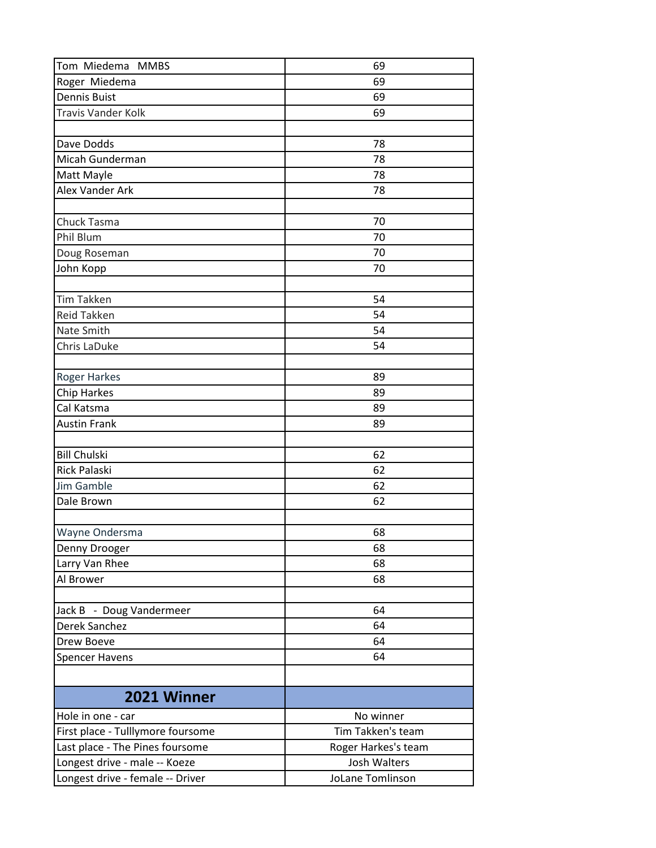| Tom Miedema MMBS                  | 69                  |
|-----------------------------------|---------------------|
| Roger Miedema                     | 69                  |
| <b>Dennis Buist</b>               | 69                  |
| <b>Travis Vander Kolk</b>         | 69                  |
|                                   |                     |
| Dave Dodds                        | 78                  |
| Micah Gunderman                   | 78                  |
| Matt Mayle                        | 78                  |
| Alex Vander Ark                   | 78                  |
|                                   |                     |
| Chuck Tasma                       | 70                  |
| Phil Blum                         | 70                  |
| Doug Roseman                      | 70                  |
| John Kopp                         | 70                  |
|                                   |                     |
| <b>Tim Takken</b>                 | 54                  |
| <b>Reid Takken</b>                | 54                  |
| Nate Smith                        | 54                  |
| Chris LaDuke                      | 54                  |
|                                   |                     |
| <b>Roger Harkes</b>               | 89                  |
| <b>Chip Harkes</b>                | 89                  |
| Cal Katsma                        | 89                  |
| <b>Austin Frank</b>               | 89                  |
|                                   |                     |
| <b>Bill Chulski</b>               | 62                  |
| <b>Rick Palaski</b>               | 62                  |
| <b>Jim Gamble</b>                 | 62                  |
| Dale Brown                        | 62                  |
|                                   |                     |
| Wayne Ondersma                    | 68                  |
| Denny Drooger                     | 68                  |
| Larry Van Rhee                    | 68                  |
| Al Brower                         | 68                  |
|                                   |                     |
| Jack B - Doug Vandermeer          | 64                  |
| Derek Sanchez                     | 64                  |
| Drew Boeve                        | 64                  |
| <b>Spencer Havens</b>             | 64                  |
|                                   |                     |
|                                   |                     |
| 2021 Winner                       |                     |
| Hole in one - car                 | No winner           |
| First place - Tulllymore foursome | Tim Takken's team   |
| Last place - The Pines foursome   | Roger Harkes's team |
| Longest drive - male -- Koeze     | Josh Walters        |
| Longest drive - female -- Driver  | JoLane Tomlinson    |